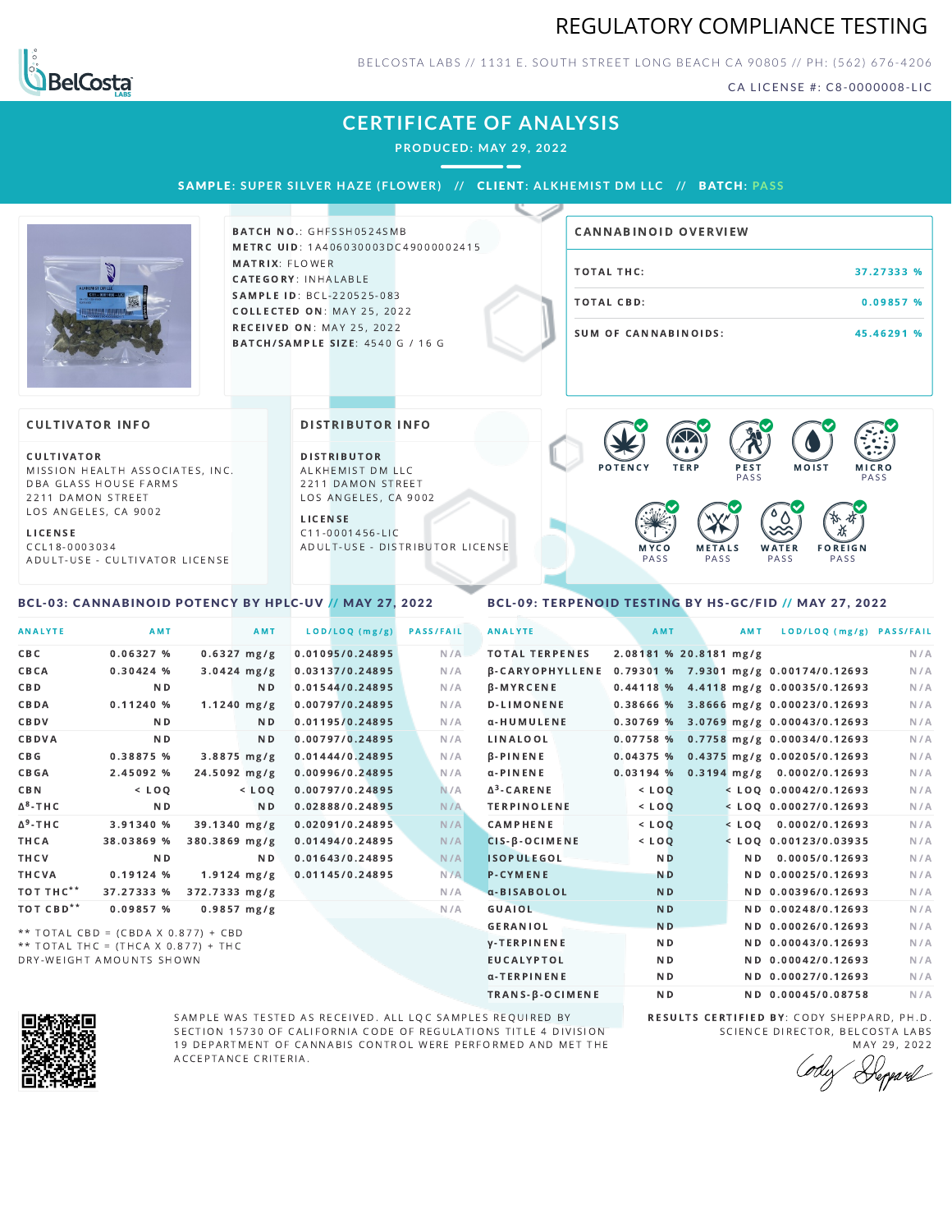## REGULATORY COMPLIANCE TESTING



### BELCOSTA LABS // 1131 E. SOUTH STREET LONG BEACH C A 90805 // PH: (562) 676-4206

CA LICENSE #: C8-0000008-LIC

### **CERTIFICATE OF ANALYSIS**

**PRODUCED: MAY 29, 2022**

SAMPLE: SUPER SILVER HAZE (FLOWER) // CLIENT: ALKHEMIST DM LLC // BATCH: PASS



BATCH NO.: GHFSSH0524SMB METRC UID: 1A406030003DC49000002415 MATRIX: FLOWER CATEGORY: INHALABLE SAMPLE ID: BCL-220525-083 **COLLECTED ON: MAY 25, 2022** RECEIVED ON: MAY 25, 2022 BATCH/SAMPLE SIZE: 4540 G / 16 G

# TOTAL THC: 37.27333 % TOTAL CBD: 0.09857 % SUM OF CANNABINOIDS: 45.46291 % CANNABINOID OVERVIEW

#### **CULTIVATOR INFO**

**CULTIVATOR** MISSION HEALTH ASSOCIATES, INC. DBA GLASS HOUSE FARMS 2211 DAMON STREET LOS ANGELES, CA 9002

<span id="page-0-0"></span>BCL-03: CANNABINOID POTENCY BY HPLC-UV // MAY 27, 2022

L I C E N S E C C L 1 8 - 0 0 0 3 0 3 4 A D U L T - U S E - C U L T I V A T O R L I CENSE

#### DISTRIBUTOR INFO

D I STRIBUTOR ALKHEMIST DM LLC 2211 DAMON STREET LOS ANGELES, CA 9002

L I C E N S E C 1 1 - 0 0 0 1 4 5 6 - L I C A D U L T - U S E - D I STRIBUTOR LICENSE



#### <span id="page-0-1"></span>BCL-09: TERPENOID TESTING BY HS-GC/FID // MAY 27, 2022

| <b>ANALYTE</b>        | <b>AMT</b>                          | <b>AMT</b>       | LOD/LOQ (mg/g)  | <b>PASS/FAIL</b> | <b>ANALYTE</b>         | AMT            | <b>AMT</b>             | LOD/LOQ (mg/g) PASS/FAIL                |     |
|-----------------------|-------------------------------------|------------------|-----------------|------------------|------------------------|----------------|------------------------|-----------------------------------------|-----|
| C B C                 | 0.06327%                            | $0.6327$ mg/g    | 0.01095/0.24895 | N/A              | <b>TOTAL TERPENES</b>  |                | 2.08181 % 20.8181 mg/g |                                         | N/A |
| CBCA                  | 0.30424%                            | $3.0424$ mg/g    | 0.03137/0.24895 | N/A              | <b>B-CARYOPHYLLENE</b> |                |                        | 0.79301 % 7.9301 mg/g 0.00174/0.12693   | N/A |
| <b>CBD</b>            | N <sub>D</sub>                      | ND.              | 0.01544/0.24895 | N/A              | $\beta$ -MYRCENE       |                |                        | 0.44118 % 4.4118 mg/g 0.00035/0.12693   | N/A |
| CBDA                  | 0.11240%                            | $1.1240$ mg/g    | 0.00797/0.24895 | N/A              | <b>D-LIMONENE</b>      |                |                        | 0.38666 % 3.8666 mg/g 0.00023/0.12693   | N/A |
| CBDV                  | N <sub>D</sub>                      | ND.              | 0.01195/0.24895 | N/A              | α-HUMULENE             |                |                        | $0.30769$ % 3.0769 mg/g 0.00043/0.12693 | N/A |
| CBDVA                 | N <sub>D</sub>                      | N <sub>D</sub>   | 0.00797/0.24895 | N/A              | <b>LINALOOL</b>        |                |                        | $0.07758$ % 0.7758 mg/g 0.00034/0.12693 | N/A |
| <b>CBG</b>            | 0.38875 %                           | $3.8875$ mg/g    | 0.01444/0.24895 | N/A              | $\beta$ -PINENE        |                |                        | $0.04375%$ 0.4375 mg/g 0.00205/0.12693  | N/A |
| CBGA                  | 2.45092 %                           | 24.5092 mg/g     | 0.00996/0.24895 | N/A              | $\alpha$ -PINENE       |                |                        | $0.03194\%$ 0.3194 mg/g 0.0002/0.12693  | N/A |
| <b>CBN</b>            | $<$ LOO                             | $<$ LOQ          | 0.00797/0.24895 | N/A              | $\Delta^3$ -CARENE     | $<$ LOQ        |                        | $<$ LOQ 0.00042/0.12693                 | N/A |
| $\Delta^8$ -THC       | N <sub>D</sub>                      | N <sub>D</sub>   | 0.02888/0.24895 | N/A              | <b>TERPINOLENE</b>     | $<$ LOQ        |                        | $<$ LOQ 0.00027/0.12693                 | N/A |
| $\Delta^9$ -THC       | 3.91340 %                           | 39.1340 mg/g     | 0.02091/0.24895 | N/A              | <b>CAMPHENE</b>        | $<$ LOQ        |                        | $<$ LOO 0.0002/0.12693                  | N/A |
| <b>THCA</b>           | 38.03869 %                          | 380.3869 mg/g    | 0.01494/0.24895 | N/A              | CIS-B-OCIMENE          | $<$ LOQ        |                        | $<$ LOQ 0.00123/0.03935                 | N/A |
| THCV                  | N <sub>D</sub>                      | ND.              | 0.01643/0.24895 | N/A              | <b>ISOPULEGOL</b>      | N <sub>D</sub> | N <sub>D</sub>         | 0.0005/0.12693                          | N/A |
| THCVA                 | 0.19124%                            | $1.9124 \, mg/g$ | 0.01145/0.24895 | N/A              | <b>P-CYMENE</b>        | <b>ND</b>      |                        | ND 0.00025/0.12693                      | N/A |
| TOT THC**             | 37.27333 %                          | 372.7333 mg/g    |                 | N/A              | a-BISABOLOL            | <b>ND</b>      |                        | ND 0.00396/0.12693                      | N/A |
| TOT CBD <sup>**</sup> | 0.09857 %                           | $0.9857$ mg/g    |                 | N/A              | GUAIOL                 | <b>ND</b>      |                        | ND 0.00248/0.12693                      | N/A |
|                       | ** TOTAL CBD = (CBDA X 0.877) + CBD |                  |                 |                  | <b>GERANIOL</b>        | N <sub>D</sub> |                        | ND 0.00026/0.12693                      | N/A |
|                       | ** TOTAL THC = (THCA X 0.877) + THC |                  |                 |                  | <b>y-TERPINENE</b>     | N <sub>D</sub> |                        | ND 0.00043/0.12693                      | N/A |
|                       | DRY-WEIGHT AMOUNTS SHOWN            |                  |                 |                  | <b>EUCALYPTOL</b>      | N <sub>D</sub> |                        | ND 0.00042/0.12693                      | N/A |



SAMPLE WAS TESTED AS RECEIVED. ALL LQC SAMPLES REQUIRED BY SECTION 15730 OF CALIFORNIA CODE OF REGULATIONS TITLE 4 DIVISION 19 DEPARTMENT OF CANNABIS CONTROL WERE PERFORMED AND MET THE A C C E P T A N C E C R I T E R I A.

RESULTS CERTIFIED BY: CODY SHEPPARD, PH.D. SCIENCE DIRECTOR, BELCOSTA LABS MAY 29, 2022

α-TERPINENE ND ND 0.00027/0.12693 N/A TRANS-β-OCIMENE ND ND 0.00045/0.08758 N/A

Depard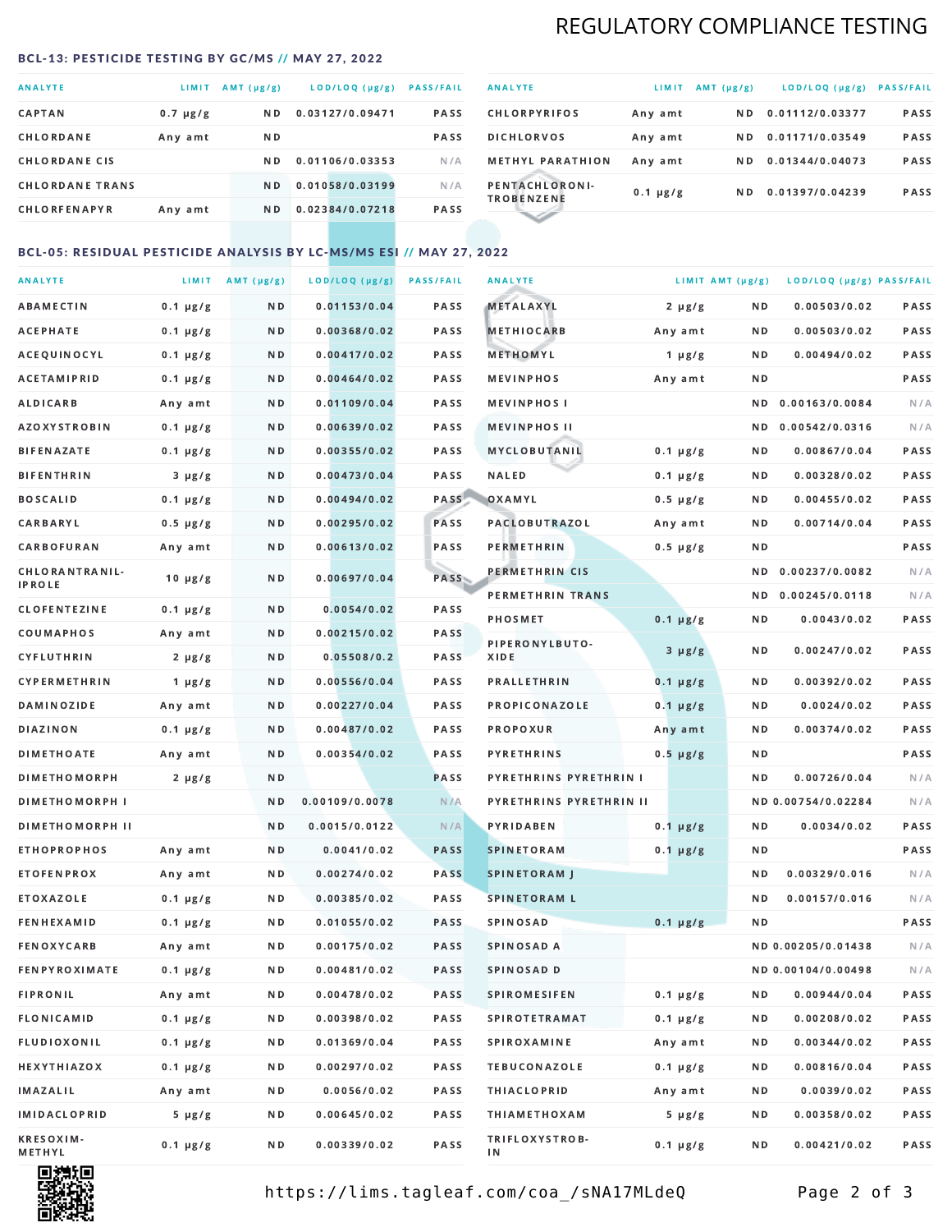# REGULATORY COMPLIANCE TESTING

#### <span id="page-1-0"></span>BCL-13: PESTICIDE TESTING BY GC/MS // MAY 27, 2022

| <b>ANALYTE</b>         | LIMIT         | $AMT(\mu g/g)$ | LOD/LOQ (µg/g)  | <b>PASS/FAIL</b> |
|------------------------|---------------|----------------|-----------------|------------------|
| <b>CAPTAN</b>          | $0.7 \mu g/g$ | ND.            | 0.03127/0.09471 | <b>PASS</b>      |
| CHLORDANE              | Any amt       | ND.            |                 | <b>PASS</b>      |
| <b>CHLORDANE CIS</b>   |               | ND.            | 0.01106/0.03353 | N/A              |
| <b>CHLORDANE TRANS</b> |               | N <sub>D</sub> | 0.01058/0.03199 | N/A              |
| <b>CHLORFENAPYR</b>    | Any amt       | N D            | 0.02384/0.07218 | <b>PASS</b>      |

| <b>ANALYTE</b>                      | LIMIT         | $AMT(\mu g/g)$ | LOD/LOQ (µg/g)  | <b>PASS/FAIL</b> |
|-------------------------------------|---------------|----------------|-----------------|------------------|
| <b>CHLORPYRIFOS</b>                 | Any amt       | N D            | 0.01112/0.03377 | <b>PASS</b>      |
| <b>DICHLORVOS</b>                   | Any amt       | N D.           | 0.01171/0.03549 | PASS             |
| <b>METHYL PARATHION</b>             | Any amt       | ND.            | 0.01344/0.04073 | <b>PASS</b>      |
| PENTACHLORONI-<br><b>TROBENZENE</b> | $0.1 \mu g/g$ | ND.            | 0.01397/0.04239 | <b>PASS</b>      |
|                                     |               |                |                 |                  |

### BCL-05: RESIDUAL PESTICIDE ANALYSIS BY LC-MS/MS ESI // MAY 27, 2022

| <b>ANALYTE</b>         |               | LIMIT $AMT(\mu g/g)$ | LOD/LOQ (µg/g) | <b>PASS/FAIL</b> | <b>ANALYTE</b>                | LIMIT AMT (µg/g) |     | LOD/LOQ (µg/g) PASS/FAIL |      |
|------------------------|---------------|----------------------|----------------|------------------|-------------------------------|------------------|-----|--------------------------|------|
| <b>ABAMECTIN</b>       | $0.1 \mu g/g$ | N D                  | 0.01153/0.04   | PASS             | <b>METALAXYL</b>              | $2 \mu g/g$      | N D | 0.00503/0.02             | PASS |
| <b>ACEPHATE</b>        | $0.1 \mu g/g$ | N D                  | 0.00368/0.02   | <b>PASS</b>      | <b>METHIOCARB</b>             | Any amt          | N D | 0.00503/0.02             | PASS |
| ACEQUINOCYL            | $0.1 \mu g/g$ | N D                  | 0.00417/0.02   | <b>PASS</b>      | METHOMYL                      | $1 \mu g/g$      | N D | 0.00494/0.02             | PASS |
| <b>ACETAMIPRID</b>     | $0.1 \mu g/g$ | N D                  | 0.00464/0.02   | PASS             | <b>MEVINPHOS</b>              | Any amt          | N D |                          | PASS |
| ALDICARB               | Any amt       | N D                  | 0.01109/0.04   | PASS             | <b>MEVINPHOSI</b>             |                  | N D | 0.00163/0.0084           | N/A  |
| <b>AZOXYSTROBIN</b>    | $0.1 \mu g/g$ | N D                  | 0.00639/0.02   | PASS             | <b>MEVINPHOS II</b>           |                  | N D | 0.00542/0.0316           | N/A  |
| <b>BIFENAZATE</b>      | $0.1 \mu g/g$ | N D                  | 0.00355/0.02   | PASS             | <b>MYCLOBUTANIL</b>           | $0.1 \mu g/g$    | N D | 0.00867/0.04             | PASS |
| <b>BIFENTHRIN</b>      | $3 \mu g/g$   | N D                  | 0.00473/0.04   | PASS             | <b>NALED</b>                  | $0.1 \mu g/g$    | N D | 0.00328/0.02             | PASS |
| <b>BOSCALID</b>        | $0.1 \mu g/g$ | N D                  | 0.00494/0.02   | PASS             | OXAMYL                        | $0.5 \mu g/g$    | N D | 0.00455/0.02             | PASS |
| <b>CARBARYL</b>        | $0.5 \mu g/g$ | N D                  | 0.00295/0.02   | PASS             | <b>PACLOBUTRAZOL</b>          | Any amt          | N D | 0.00714/0.04             | PASS |
| CARBOFURAN             | Any amt       | N D                  | 0.00613/0.02   | PASS             | <b>PERMETHRIN</b>             | $0.5 \, \mu g/g$ | N D |                          | PASS |
| CHLORANTRANIL-         | $10 \mu g/g$  | N D                  | 0.00697/0.04   | PASS             | PERMETHRIN CIS                |                  | N D | 0.00237/0.0082           | N/A  |
| <b>IPROLE</b>          |               |                      |                |                  | PERMETHRIN TRANS              |                  |     | ND 0.00245/0.0118        | N/A  |
| <b>CLOFENTEZINE</b>    | $0.1 \mu g/g$ | N D                  | 0.0054/0.02    | PASS             | <b>PHOSMET</b>                | $0.1 \mu g/g$    | N D | 0.0043/0.02              | PASS |
| COUMAPHOS              | Any amt       | N D                  | 0.00215/0.02   | PASS             | PIPERONYLBUTO-                | $3 \mu g/g$      | N D | 0.00247/0.02             | PASS |
| <b>CYFLUTHRIN</b>      | $2 \mu g/g$   | N D                  | 0.05508/0.2    | <b>PASS</b>      | XIDE                          |                  |     |                          |      |
| <b>CYPERMETHRIN</b>    | 1 $\mu$ g/g   | N D                  | 0.00556/0.04   | PASS             | <b>PRALLETHRIN</b>            | $0.1 \mu g/g$    | N D | 0.00392/0.02             | PASS |
| <b>DAMINOZIDE</b>      | Any amt       | N D                  | 0.00227/0.04   | PASS             | PROPICONAZOLE                 | $0.1 \mu g/g$    | N D | 0.0024/0.02              | PASS |
| <b>DIAZINON</b>        | $0.1 \mu g/g$ | N D                  | 0.00487/0.02   | PASS             | PROPOXUR                      | Any amt          | N D | 0.00374/0.02             | PASS |
| <b>DIMETHOATE</b>      | Any amt       | N D                  | 0.00354/0.02   | PASS             | <b>PYRETHRINS</b>             | $0.5 \mu g/g$    | N D |                          | PASS |
| <b>DIMETHOMORPH</b>    | 2 µg/g        | N D                  |                | PASS             | <b>PYRETHRINS PYRETHRIN I</b> |                  | ND. | 0.00726/0.04             | N/A  |
| <b>DIMETHOMORPH I</b>  |               | N D                  | 0.00109/0.0078 | N/A              | PYRETHRINS PYRETHRIN II       |                  |     | ND 0.00754/0.02284       | N/A  |
| <b>DIMETHOMORPH II</b> |               | N D                  | 0.0015/0.0122  | N/A              | <b>PYRIDABEN</b>              | $0.1 \mu g/g$    | N D | 0.0034/0.02              | PASS |
| <b>ETHOPROPHOS</b>     | Any amt       | N D                  | 0.0041/0.02    | <b>PASS</b>      | <b>SPINETORAM</b>             | $0.1 \mu g/g$    | N D |                          | PASS |
| <b>ETOFENPROX</b>      | Any amt       | N D                  | 0.00274/0.02   | <b>PASS</b>      | <b>SPINETORAM J</b>           |                  | N D | 0.00329/0.016            | N/A  |
| ETOXAZOLE              | $0.1 \mu g/g$ | N D                  | 0.00385/0.02   | <b>PASS</b>      | <b>SPINETORAM L</b>           |                  | N D | 0.00157/0.016            | N/A  |
| <b>FENHEXAMID</b>      | $0.1 \mu g/g$ | N D                  | 0.01055/0.02   | PASS             | <b>SPINOSAD</b>               | $0.1 \mu g/g$    | N D |                          | PASS |
| <b>FENOXYCARB</b>      | Any amt       | N D                  | 0.00175/0.02   | <b>PASS</b>      | <b>SPINOSAD A</b>             |                  |     | ND 0.00205/0.01438       | N/A  |
| <b>FENPYROXIMATE</b>   | $0.1 \mu g/g$ | N D                  | 0.00481/0.02   | <b>PASS</b>      | SPINOSAD D                    |                  |     | ND 0.00104/0.00498       | N/A  |
| <b>FIPRONIL</b>        | Any amt       | N D                  | 0.00478/0.02   | PASS             | <b>SPIROMESIFEN</b>           | $0.1 \mu g/g$    | N D | 0.00944/0.04             | PASS |
| <b>FLONICAMID</b>      | $0.1 \mu g/g$ | N D                  | 0.00398/0.02   | PASS             | <b>SPIROTETRAMAT</b>          | $0.1 \mu g/g$    | N D | 0.00208/0.02             | PASS |
| FLUDIOXONIL            | $0.1 \mu g/g$ | N D                  | 0.01369/0.04   | PASS             | <b>SPIROXAMINE</b>            | Any amt          | N D | 0.00344/0.02             | PASS |
| <b>HEXYTHIAZOX</b>     | $0.1 \mu g/g$ | N D                  | 0.00297/0.02   | PASS             | <b>TEBUCONAZOLE</b>           | $0.1 \mu g/g$    | N D | 0.00816/0.04             | PASS |
| <b>IMAZALIL</b>        | Any amt       | N D                  | 0.0056/0.02    | PASS             | <b>THIACLOPRID</b>            | Any amt          | N D | 0.0039/0.02              | PASS |
| <b>IMIDACLOPRID</b>    | $5 \mu g/g$   | N D                  | 0.00645/0.02   | PASS             | <b>THIAMETHOXAM</b>           | $5 \mu g/g$      | N D | 0.00358/0.02             | PASS |
| KRESOXIM-<br>METHYL    | $0.1 \mu g/g$ | N D                  | 0.00339/0.02   | PASS             | TRIFLOXYSTROB-<br>ΙN          | 0.1 µg/g         | N D | 0.00421/0.02             | PASS |